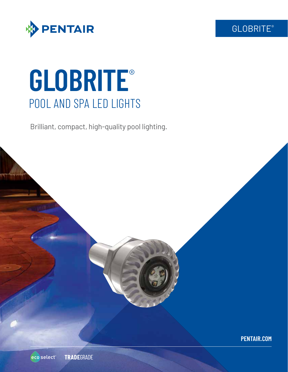



# **GLOBRITE**® POOL AND SPA LED LIGHTS

Brilliant, compact, high-quality pool lighting.



**PENTAIR.COM**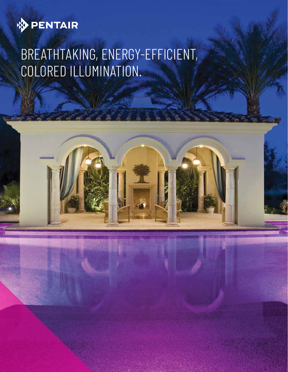

# BREATHTAKING, ENERGY-EFFICIENT, COLORED ILLUMINATION.

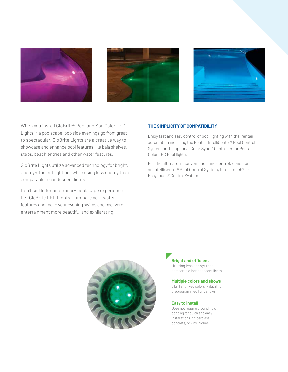





When you install GloBrite® Pool and Spa Color LED Lights in a poolscape, poolside evenings go from great to spectacular. GloBrite Lights are a creative way to showcase and enhance pool features like baja shelves, steps, beach entries and other water features.

GloBrite Lights utilize advanced technology for bright, energy-efficient lighting—while using less energy than comparable incandescent lights.

Don't settle for an ordinary poolscape experience. Let GloBrite LED Lights illuminate your water features and make your evening swims and backyard entertainment more beautiful and exhilarating.

# **THE SIMPLICITY OF COMPATIBILITY**

Enjoy fast and easy control of pool lighting with the Pentair automation including the Pentair IntelliCenter® Pool Control System or the optional Color Sync™ Controller for Pentair Color LED Pool lights.

For the ultimate in convenience and control, consider an IntelliCenter® Pool Control System, IntelliTouch® or EasyTouch® Control System.



# **Bright and efficient**

Utilizing less energy than comparable incandescent lights.

# **Multiple colors and shows**

5 brilliant fixed colors, 7 dazzling preprogrammed light shows.

#### **Easy to install**

Does not require grounding or bonding for quick and easy installations in fiberglass, concrete, or vinyl niches.